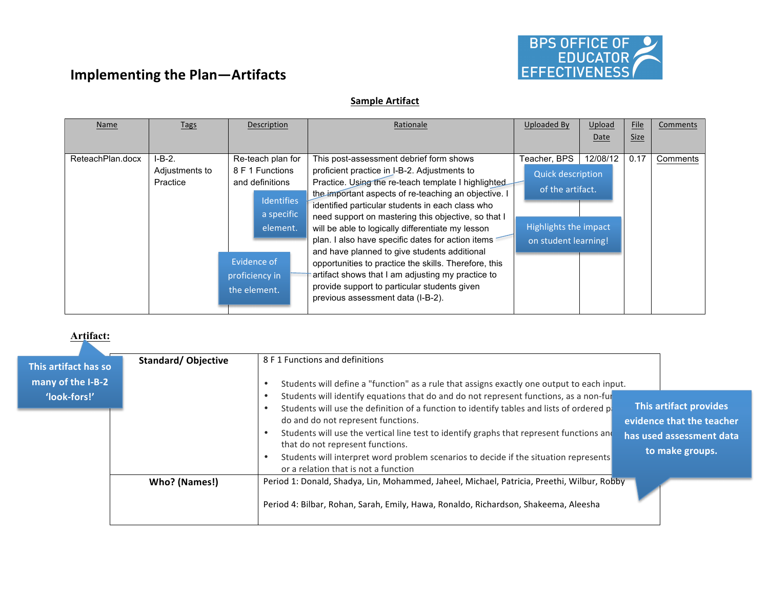

# **Sample Artifact**

| Name             | Tags           | Description       | Rationale                                             | Uploaded By              | Upload   | File        | Comments |
|------------------|----------------|-------------------|-------------------------------------------------------|--------------------------|----------|-------------|----------|
|                  |                |                   |                                                       |                          | Date     | <b>Size</b> |          |
|                  |                |                   |                                                       |                          |          |             |          |
| ReteachPlan.docx | $I-B-2.$       | Re-teach plan for | This post-assessment debrief form shows               | Teacher, BPS             | 12/08/12 | 0.17        | Comments |
|                  | Adjustments to | 8 F 1 Functions   | proficient practice in I-B-2. Adjustments to          | <b>Quick description</b> |          |             |          |
|                  | Practice       | and definitions   | Practice. Using the re-teach template I highlighted   |                          |          |             |          |
|                  |                |                   | the important aspects of re-teaching an objective. I  | of the artifact.         |          |             |          |
|                  |                | <b>Identifies</b> | identified particular students in each class who      |                          |          |             |          |
|                  |                | a specific        | need support on mastering this objective, so that I   |                          |          |             |          |
|                  |                | element.          | will be able to logically differentiate my lesson     | Highlights the impact    |          |             |          |
|                  |                |                   | plan. I also have specific dates for action items     | on student learning!     |          |             |          |
|                  |                |                   | and have planned to give students additional          |                          |          |             |          |
|                  |                | Evidence of       | opportunities to practice the skills. Therefore, this |                          |          |             |          |
|                  |                | proficiency in    | artifact shows that I am adjusting my practice to     |                          |          |             |          |
|                  |                | the element.      | provide support to particular students given          |                          |          |             |          |
|                  |                |                   | previous assessment data (I-B-2).                     |                          |          |             |          |
|                  |                |                   |                                                       |                          |          |             |          |

## **Artifact:**

| This artifact has so<br>many of the I-B-2<br>'look-fors!' | <b>Standard/Objective</b> | 8 F 1 Functions and definitions<br>Students will define a "function" as a rule that assigns exactly one output to each input.<br>Students will identify equations that do and do not represent functions, as a non-fur<br>This artifact provides<br>Students will use the definition of a function to identify tables and lists of ordered p.                                  |
|-----------------------------------------------------------|---------------------------|--------------------------------------------------------------------------------------------------------------------------------------------------------------------------------------------------------------------------------------------------------------------------------------------------------------------------------------------------------------------------------|
|                                                           |                           | do and do not represent functions.<br>evidence that the teacher<br>Students will use the vertical line test to identify graphs that represent functions and<br>has used assessment data<br>that do not represent functions.<br>to make groups.<br>Students will interpret word problem scenarios to decide if the situation represents<br>or a relation that is not a function |
|                                                           | Who? (Names!)             | Period 1: Donald, Shadya, Lin, Mohammed, Jaheel, Michael, Patricia, Preethi, Wilbur, Robby<br>Period 4: Bilbar, Rohan, Sarah, Emily, Hawa, Ronaldo, Richardson, Shakeema, Aleesha                                                                                                                                                                                              |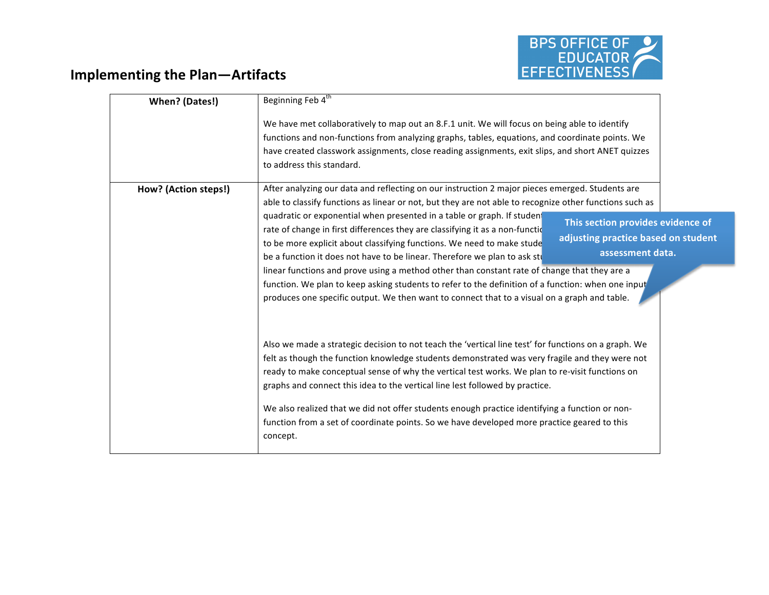

| When? (Dates!)       | Beginning Feb 4 <sup>th</sup>                                                                                                                                                                                                                                                                                                                                                                                                                                                                                                                                                                                                                                                                                        |
|----------------------|----------------------------------------------------------------------------------------------------------------------------------------------------------------------------------------------------------------------------------------------------------------------------------------------------------------------------------------------------------------------------------------------------------------------------------------------------------------------------------------------------------------------------------------------------------------------------------------------------------------------------------------------------------------------------------------------------------------------|
|                      | We have met collaboratively to map out an 8.F.1 unit. We will focus on being able to identify<br>functions and non-functions from analyzing graphs, tables, equations, and coordinate points. We<br>have created classwork assignments, close reading assignments, exit slips, and short ANET quizzes<br>to address this standard.                                                                                                                                                                                                                                                                                                                                                                                   |
| How? (Action steps!) | After analyzing our data and reflecting on our instruction 2 major pieces emerged. Students are<br>able to classify functions as linear or not, but they are not able to recognize other functions such as                                                                                                                                                                                                                                                                                                                                                                                                                                                                                                           |
|                      | quadratic or exponential when presented in a table or graph. If student<br>This section provides evidence of<br>rate of change in first differences they are classifying it as a non-functic<br>adjusting practice based on student<br>to be more explicit about classifying functions. We need to make stude<br>assessment data.<br>be a function it does not have to be linear. Therefore we plan to ask stu<br>linear functions and prove using a method other than constant rate of change that they are a<br>function. We plan to keep asking students to refer to the definition of a function: when one input<br>produces one specific output. We then want to connect that to a visual on a graph and table. |
|                      | Also we made a strategic decision to not teach the 'vertical line test' for functions on a graph. We<br>felt as though the function knowledge students demonstrated was very fragile and they were not<br>ready to make conceptual sense of why the vertical test works. We plan to re-visit functions on<br>graphs and connect this idea to the vertical line lest followed by practice.<br>We also realized that we did not offer students enough practice identifying a function or non-<br>function from a set of coordinate points. So we have developed more practice geared to this<br>concept.                                                                                                               |